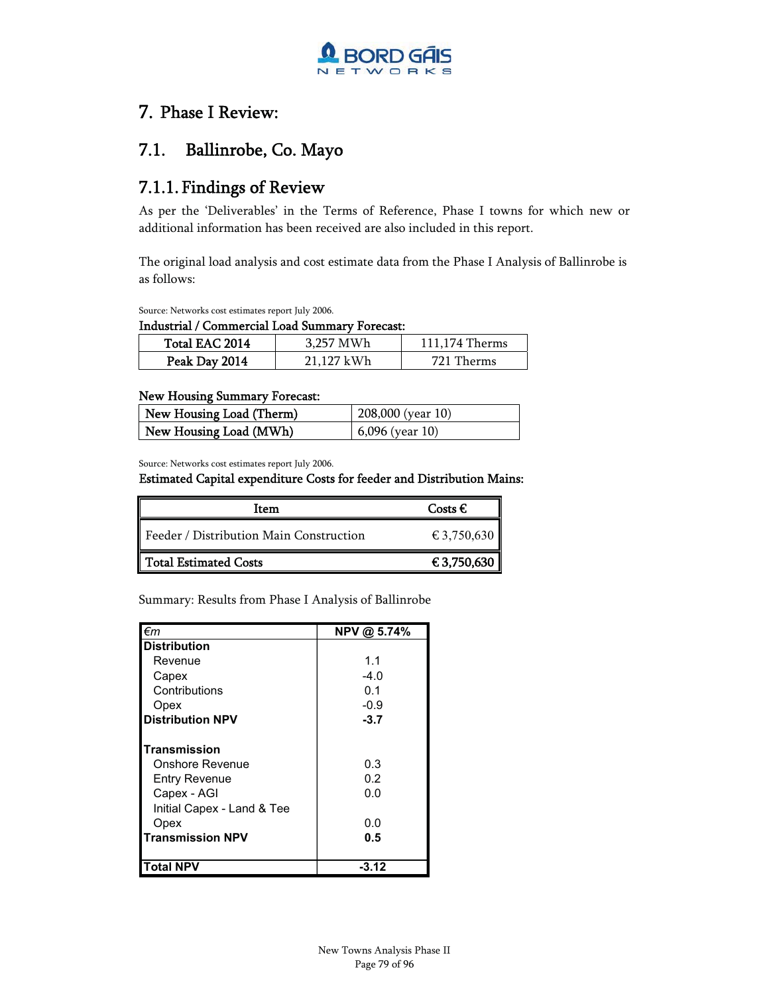

### 7. Phase I Review:

### 7.1. Ballinrobe, Co. Mayo

### 7.1.1. Findings of Review

As per the 'Deliverables' in the Terms of Reference, Phase I towns for which new or additional information has been received are also included in this report.

The original load analysis and cost estimate data from the Phase I Analysis of Ballinrobe is as follows:

Source: Networks cost estimates report July 2006.

Industrial / Commercial Load Summary Forecast:

| Total EAC 2014 | 3.257 MWh  | 111.174 Therms |
|----------------|------------|----------------|
| Peak Day 2014  | 21.127 kWh | 721 Therms     |

### New Housing Summary Forecast:

| New Housing Load (Therm) | 208,000 (year 10) |
|--------------------------|-------------------|
| New Housing Load (MWh)   | $6,096$ (year 10) |

Source: Networks cost estimates report July 2006.

### Estimated Capital expenditure Costs for feeder and Distribution Mains:

| Item                                    | Costs $\epsilon$ |
|-----------------------------------------|------------------|
| Feeder / Distribution Main Construction | € 3,750,630      |
| Total Estimated Costs                   | € 3,750,630      |

Summary: Results from Phase I Analysis of Ballinrobe

| l€m                        | NPV @ 5.74% |
|----------------------------|-------------|
| <b>Distribution</b>        |             |
| Revenue                    | 1.1         |
| Capex                      | $-4.0$      |
| Contributions              | 0.1         |
| Opex                       | $-0.9$      |
| <b>Distribution NPV</b>    | $-3.7$      |
| Transmission               |             |
| Onshore Revenue            | 0.3         |
| <b>Entry Revenue</b>       | 0.2         |
| Capex - AGI                | 0.0         |
| Initial Capex - Land & Tee |             |
| Opex                       | 0.0         |
| Transmission NPV           | 0.5         |
| <b>Total NPV</b>           | -3.12       |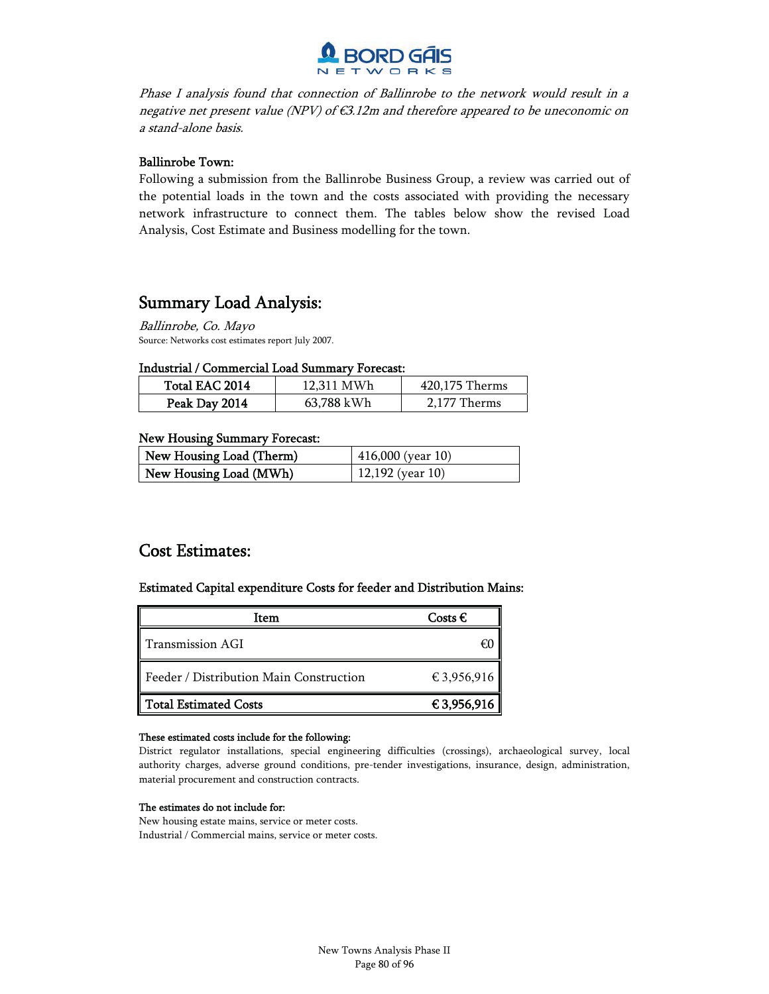

Phase I analysis found that connection of Ballinrobe to the network would result in a negative net present value (NPV) of  $\epsilon$ 3.12m and therefore appeared to be uneconomic on a stand-alone basis.

### Ballinrobe Town:

Following a submission from the Ballinrobe Business Group, a review was carried out of the potential loads in the town and the costs associated with providing the necessary network infrastructure to connect them. The tables below show the revised Load Analysis, Cost Estimate and Business modelling for the town.

### Summary Load Analysis:

Ballinrobe, Co. Mayo Source: Networks cost estimates report July 2007.

### Industrial / Commercial Load Summary Forecast:

| Total EAC 2014 | 12.311 MWh | 420,175 Therms |
|----------------|------------|----------------|
| Peak Day 2014  | 63,788 kWh | 2.177 Therms   |

### New Housing Summary Forecast:

| New Housing Load (Therm) | $416,000$ (year 10) |
|--------------------------|---------------------|
| New Housing Load (MWh)   | $12,192$ (year 10)  |

### Cost Estimates:

### Estimated Capital expenditure Costs for feeder and Distribution Mains:

| Item                                    | Costs $\epsilon$ |
|-----------------------------------------|------------------|
| Transmission AGI                        | €Ю               |
| Feeder / Distribution Main Construction | € 3,956,916      |
| <b>Total Estimated Costs</b>            | € 3,956,916      |

### These estimated costs include for the following:

District regulator installations, special engineering difficulties (crossings), archaeological survey, local authority charges, adverse ground conditions, pre-tender investigations, insurance, design, administration, material procurement and construction contracts.

### The estimates do not include for:

New housing estate mains, service or meter costs. Industrial / Commercial mains, service or meter costs.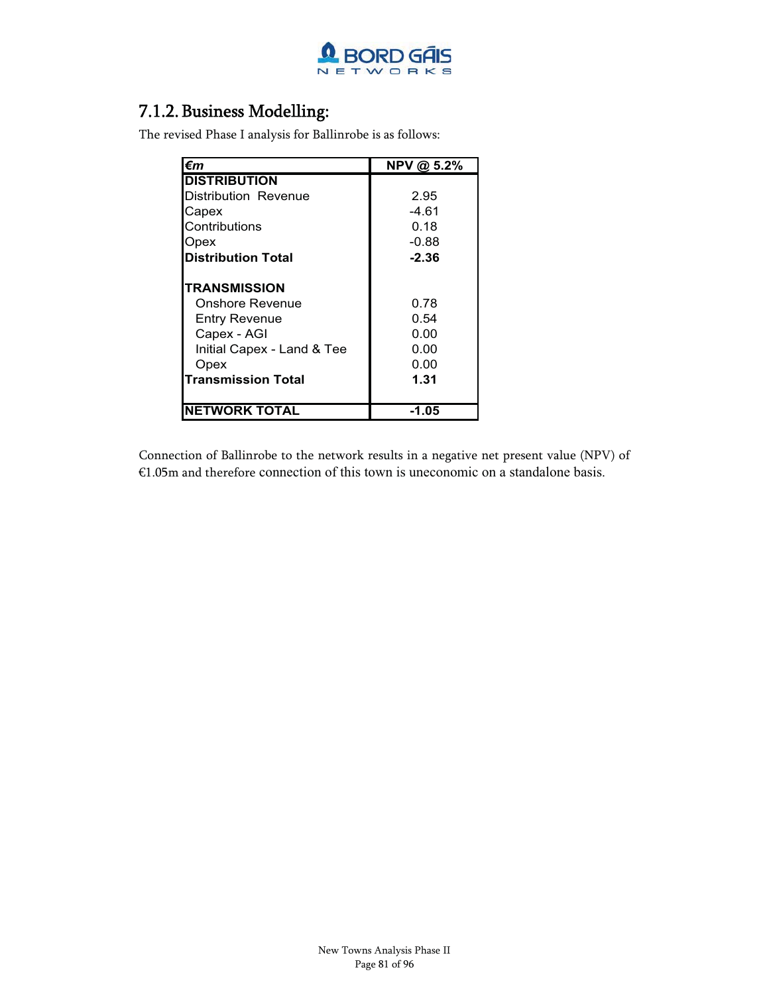

### 7.1.2.Business Modelling:

The revised Phase I analysis for Ballinrobe is as follows:

| €m                         | NPV @ 5.2% |
|----------------------------|------------|
| <b>DISTRIBUTION</b>        |            |
| Distribution Revenue       | 2.95       |
| Capex                      | -4.61      |
| Contributions              | 0.18       |
| Opex                       | $-0.88$    |
| <b>Distribution Total</b>  | $-2.36$    |
| <b>TRANSMISSION</b>        |            |
| Onshore Revenue            | 0.78       |
| <b>Entry Revenue</b>       | 0.54       |
| Capex - AGI                | 0.00       |
| Initial Capex - Land & Tee | 0.00       |
| Opex                       | 0.00       |
| <b>Transmission Total</b>  | 1.31       |
| <b>NETWORK TOTAL</b>       | -1.05      |

Connection of Ballinrobe to the network results in a negative net present value (NPV) of €1.05m and therefore connection of this town is uneconomic on a standalone basis.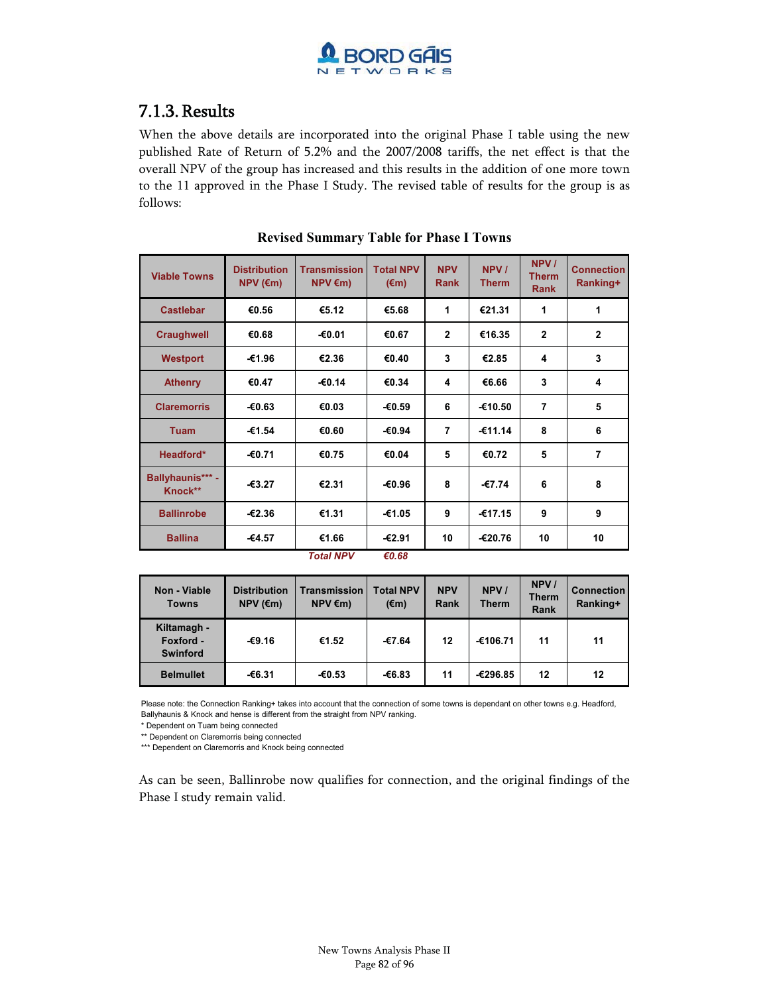

### 7.1.3.Results

When the above details are incorporated into the original Phase I table using the new published Rate of Return of 5.2% and the 2007/2008 tariffs, the net effect is that the overall NPV of the group has increased and this results in the addition of one more town to the 11 approved in the Phase I Study. The revised table of results for the group is as follows:

| <b>Viable Towns</b>         | <b>Distribution</b><br>$NPV$ ( $\epsilon$ m) | <b>Transmission</b><br>$NPV \in m$ | <b>Total NPV</b><br>$(\epsilon m)$ | <b>NPV</b><br><b>Rank</b> | NPV /<br><b>Therm</b> | NPV /<br><b>Therm</b><br><b>Rank</b> | <b>Connection</b><br>Ranking+ |
|-----------------------------|----------------------------------------------|------------------------------------|------------------------------------|---------------------------|-----------------------|--------------------------------------|-------------------------------|
| <b>Castlebar</b>            | €0.56                                        | €5.12                              | €5.68                              | 1                         | €21.31                | 1                                    | 1                             |
| <b>Craughwell</b>           | €0.68                                        | -€0.01                             | €0.67                              | $\overline{2}$            | €16.35                | $\overline{2}$                       | $\overline{2}$                |
| <b>Westport</b>             | -€1.96                                       | €2.36                              | €0.40                              | 3                         | €2.85                 | 4                                    | 3                             |
| <b>Athenry</b>              | €0.47                                        | $-€0.14$                           | €0.34                              | 4                         | €6.66                 | 3                                    | 4                             |
| <b>Claremorris</b>          | $-€0.63$                                     | €0.03                              | €0.59                              | 6                         | -€10.50               | 7                                    | 5                             |
| <b>Tuam</b>                 | €1.54                                        | €0.60                              | €0.94                              | $\overline{7}$            | $-€11.14$             | 8                                    | 6                             |
| Headford*                   | -€0.71                                       | €0.75                              | €0.04                              | 5                         | €0.72                 | 5                                    | $\overline{7}$                |
| Ballyhaunis*** -<br>Knock** | $-63.27$                                     | €2.31                              | -€0.96                             | 8                         | -€7.74                | 6                                    | 8                             |
| <b>Ballinrobe</b>           | $-62.36$                                     | €1.31                              | -€1.05                             | 9                         | -€17.15               | 9                                    | 9                             |
| <b>Ballina</b>              | -€4.57                                       | €1.66                              | $-€2.91$                           | 10                        | -€20.76               | 10                                   | 10                            |

### **Revised Summary Table for Phase I Towns**

*Total NPV €0.68*

| Non - Viable<br><b>Towns</b>                | <b>Distribution</b><br>$NPV$ ( $\epsilon$ m) | Transmission<br>$NPV \in m$ | <b>Total NPV</b><br>$(\epsilon m)$ | <b>NPV</b><br><b>Rank</b> | NPV /<br><b>Therm</b> | NPV /<br><b>Therm</b><br><b>Rank</b> | <b>Connection</b><br>Ranking+ |
|---------------------------------------------|----------------------------------------------|-----------------------------|------------------------------------|---------------------------|-----------------------|--------------------------------------|-------------------------------|
| Kiltamagh -<br>Foxford -<br><b>Swinford</b> | $-69.16$                                     | €1.52                       | -€7.64                             | 12                        | -€106.71              | 11                                   | 11                            |
| <b>Belmullet</b>                            | €6.31                                        | €0.53                       | €6.83                              | 11                        | -€296.85              | 12                                   | 12                            |

Please note: the Connection Ranking+ takes into account that the connection of some towns is dependant on other towns e.g. Headford, Ballyhaunis & Knock and hense is different from the straight from NPV ranking.

\* Dependent on Tuam being connected

\*\* Dependent on Claremorris being connected

\*\*\* Dependent on Claremorris and Knock being connected

As can be seen, Ballinrobe now qualifies for connection, and the original findings of the Phase I study remain valid.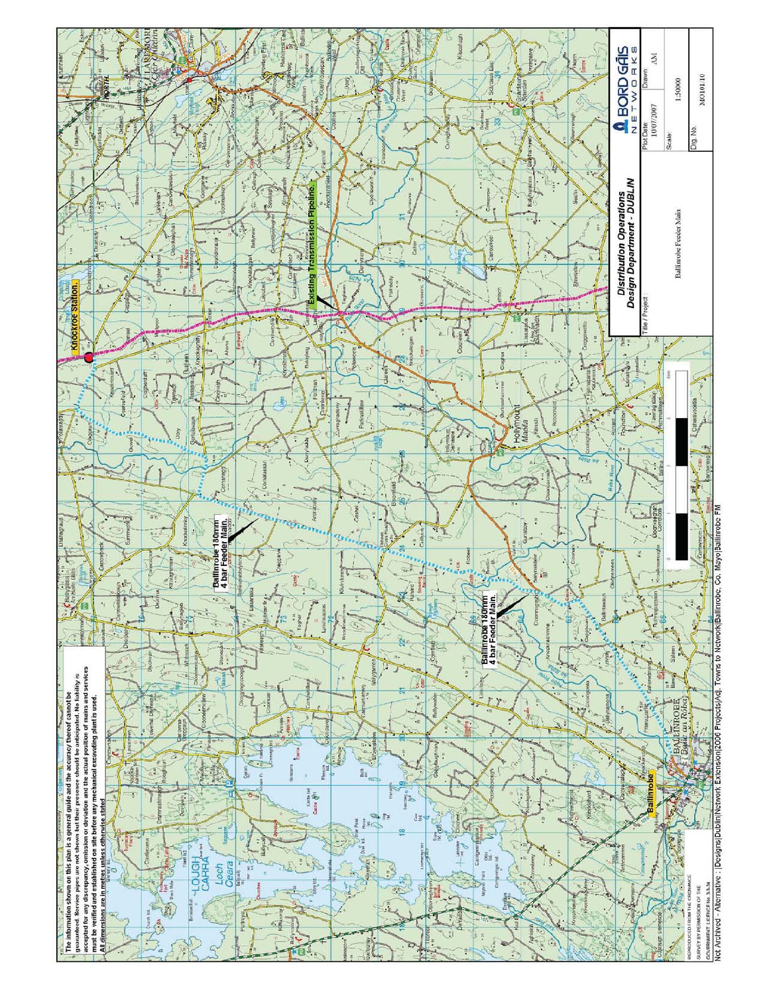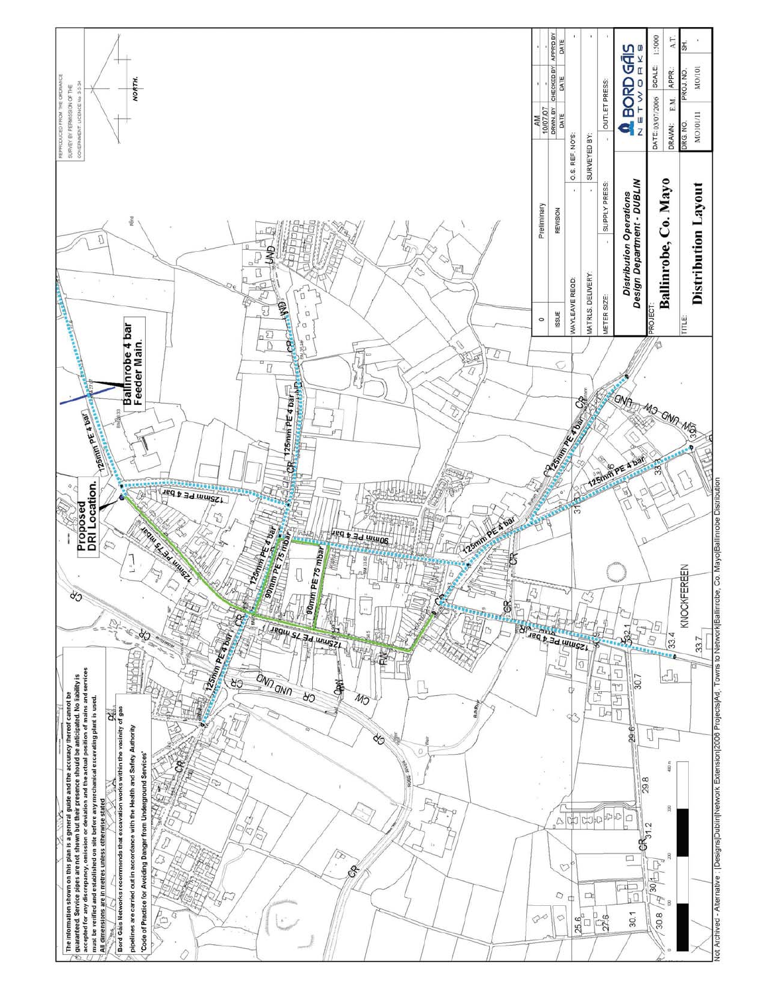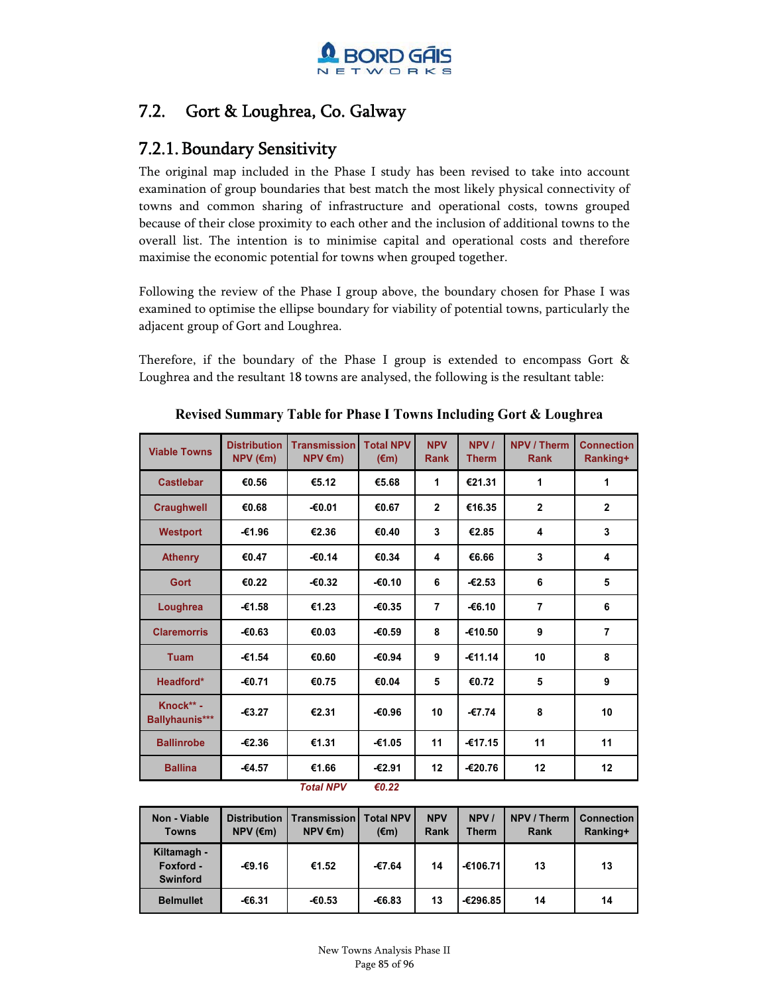

### 7.2. Gort & Loughrea, Co. Galway

### 7.2.1.Boundary Sensitivity

The original map included in the Phase I study has been revised to take into account examination of group boundaries that best match the most likely physical connectivity of towns and common sharing of infrastructure and operational costs, towns grouped because of their close proximity to each other and the inclusion of additional towns to the overall list. The intention is to minimise capital and operational costs and therefore maximise the economic potential for towns when grouped together.

Following the review of the Phase I group above, the boundary chosen for Phase I was examined to optimise the ellipse boundary for viability of potential towns, particularly the adjacent group of Gort and Loughrea.

Therefore, if the boundary of the Phase I group is extended to encompass Gort & Loughrea and the resultant 18 towns are analysed, the following is the resultant table:

| <b>Viable Towns</b>                | <b>Distribution</b><br>$NPV$ ( $\epsilon$ m) | <b>Transmission</b><br>$NPV \in m$ | <b>Total NPV</b><br>$(\epsilon m)$ | <b>NPV</b><br><b>Rank</b> | NPV /<br><b>Therm</b> | <b>NPV / Therm</b><br><b>Rank</b> | <b>Connection</b><br>Ranking+ |
|------------------------------------|----------------------------------------------|------------------------------------|------------------------------------|---------------------------|-----------------------|-----------------------------------|-------------------------------|
| <b>Castlebar</b>                   | €0.56                                        | €5.12                              | €5.68                              | 1                         | €21.31                | 1                                 | 1                             |
| <b>Craughwell</b>                  | €0.68                                        | $-€0.01$                           | €0.67                              | $\overline{2}$            | €16.35                | $\overline{2}$                    | $\overline{2}$                |
| <b>Westport</b>                    | -€1.96                                       | €2.36                              | €0.40                              | 3                         | €2.85                 | 4                                 | 3                             |
| <b>Athenry</b>                     | €0.47                                        | $-€0.14$                           | €0.34                              | 4                         | €6.66                 | 3                                 | 4                             |
| Gort                               | €0.22                                        | $-60.32$                           | -€0.10                             | 6                         | $-62.53$              | 6                                 | 5                             |
| Loughrea                           | $-61.58$                                     | €1.23                              | $-60.35$                           | $\overline{7}$            | $-€6.10$              | 7                                 | 6                             |
| <b>Claremorris</b>                 | $-60.63$                                     | €0.03                              | $-60.59$                           | 8                         | $-610.50$             | 9                                 | 7                             |
| <b>Tuam</b>                        | $-61.54$                                     | €0.60                              | -€0.94                             | 9                         | $-611.14$             | 10                                | 8                             |
| Headford*                          | -€0.71                                       | €0.75                              | €0.04                              | 5                         | €0.72                 | 5                                 | 9                             |
| Knock** -<br><b>Ballyhaunis***</b> | $-63.27$                                     | €2.31                              | $-€0.96$                           | 10                        | $-67.74$              | 8                                 | 10                            |
| <b>Ballinrobe</b>                  | $-62.36$                                     | €1.31                              | €1.05                              | 11                        | $-€17.15$             | 11                                | 11                            |
| <b>Ballina</b>                     | $-64.57$                                     | €1.66<br>$T = 4 - 1$ AIDV          | $-€2.91$<br>co no                  | 12                        | -€20.76               | 12                                | 12                            |

**Revised Summary Table for Phase I Towns Including Gort & Loughrea**

*Total NP V €0.22*

| Non - Viable<br><b>Towns</b>                | <b>Distribution</b><br>$NPV$ ( $\epsilon$ m) | <b>Transmission</b><br>$NPV \in m$ | <b>Total NPV</b><br>$(\epsilon m)$ | <b>NPV</b><br>Rank | NPV /<br><b>Therm</b> | NPV / Therm<br><b>Rank</b> | <b>Connection</b><br>Ranking+ |
|---------------------------------------------|----------------------------------------------|------------------------------------|------------------------------------|--------------------|-----------------------|----------------------------|-------------------------------|
| Kiltamagh -<br>Foxford -<br><b>Swinford</b> | $-69.16$                                     | €1.52                              | -€7.64                             | 14                 | -€106.71              | 13                         | 13                            |
| <b>Belmullet</b>                            | -€6.31                                       | $-60.53$                           | -€6.83                             | 13                 | -€296.85              | 14                         | 14                            |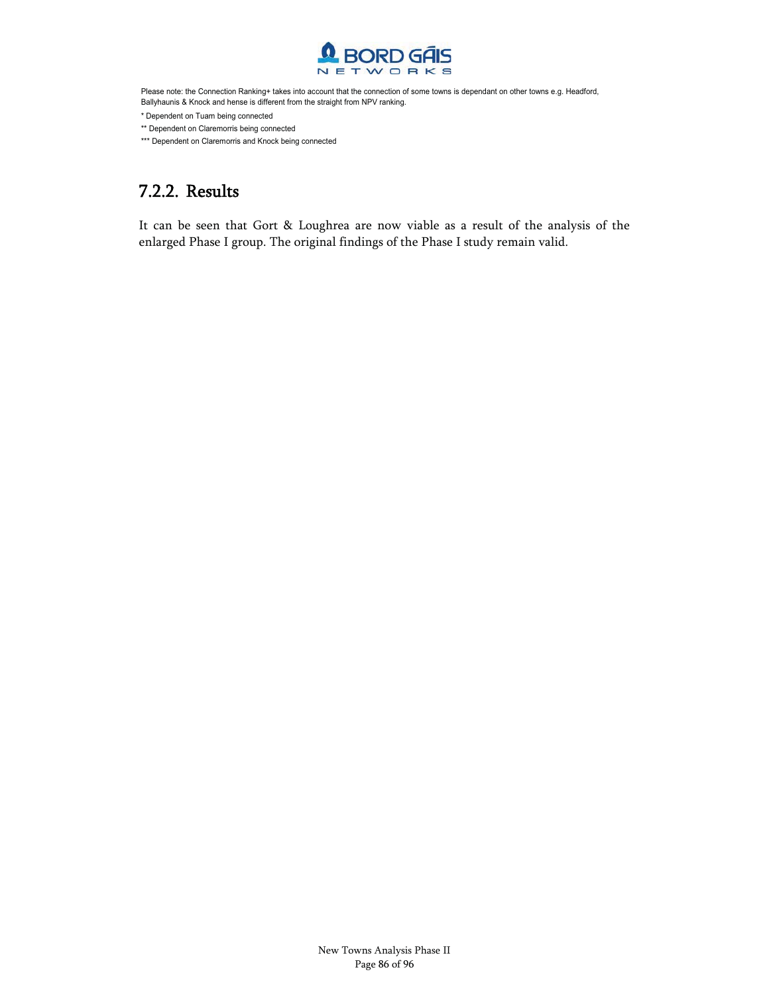

Please note: the Connection Ranking+ takes into account that the connection of some towns is dependant on other towns e.g. Headford, Ballyhaunis & Knock and hense is different from the straight from NPV ranking.

\* Dependent on Tuam being connected

\*\* Dependent on Claremorris being connected

\*\*\* Dependent on Claremorris and Knock being connected

### 7.2.2. Results

It can be seen that Gort & Loughrea are now viable as a result of the analysis of the enlarged Phase I group. The original findings of the Phase I study remain valid.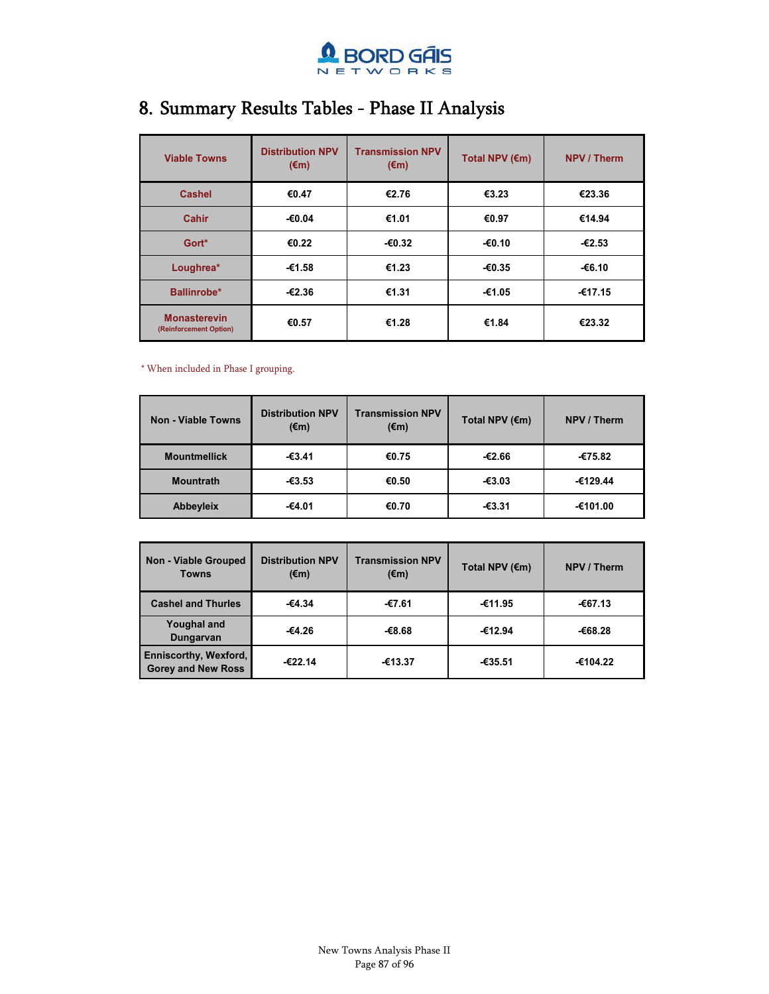

### 8. Summary Results Tables - Phase II Analysis

| <b>Viable Towns</b>                           | <b>Distribution NPV</b><br>$(\epsilon m)$ | <b>Transmission NPV</b><br>$(\epsilon m)$ | Total NPV $(\epsilon m)$ | <b>NPV / Therm</b> |
|-----------------------------------------------|-------------------------------------------|-------------------------------------------|--------------------------|--------------------|
| <b>Cashel</b>                                 | €0.47                                     | €2.76                                     | €3.23                    | €23.36             |
| Cahir                                         | $-€0.04$                                  | €1.01                                     | €0.97                    | €14.94             |
| Gort*                                         | €0.22                                     | $-60.32$                                  | $-€0.10$                 | $-62.53$           |
| Loughrea*                                     | -€1.58                                    | €1.23                                     | $-60.35$                 | -€6.10             |
| Ballinrobe*                                   | $-62.36$                                  | €1.31                                     | €1.05                    | -€17.15            |
| <b>Monasterevin</b><br>(Reinforcement Option) | €0.57                                     | €1.28                                     | €1.84                    | €23.32             |

\* When included in Phase I grouping.

| Non - Viable Towns  | <b>Distribution NPV</b><br>$(\epsilon m)$ | <b>Transmission NPV</b><br>$(\epsilon m)$ | Total NPV (€m) | NPV / Therm |
|---------------------|-------------------------------------------|-------------------------------------------|----------------|-------------|
| <b>Mountmellick</b> | $-63.41$                                  | €0.75                                     | -€2.66         | -€75.82     |
| <b>Mountrath</b>    | €3.53                                     | €0.50                                     | $-63.03$       | -€129.44    |
| <b>Abbeyleix</b>    | -€4.01                                    | €0.70                                     | $-€3.31$       | -€101.00    |

| <b>Non - Viable Grouped</b><br><b>Towns</b>        | <b>Distribution NPV</b><br>$(\epsilon m)$ | <b>Transmission NPV</b><br>$(\epsilon m)$ | Total NPV $(\epsilon m)$ | NPV / Therm |
|----------------------------------------------------|-------------------------------------------|-------------------------------------------|--------------------------|-------------|
| <b>Cashel and Thurles</b>                          | $-64.34$                                  | -€7.61                                    | -€11.95                  | -€67.13     |
| <b>Youghal and</b><br>Dungarvan                    | -€4.26                                    | $-68.68$                                  | -€12.94                  | -€68.28     |
| Enniscorthy, Wexford,<br><b>Gorey and New Ross</b> | -€22.14                                   | -€13.37                                   | -€35.51                  | -€104.22    |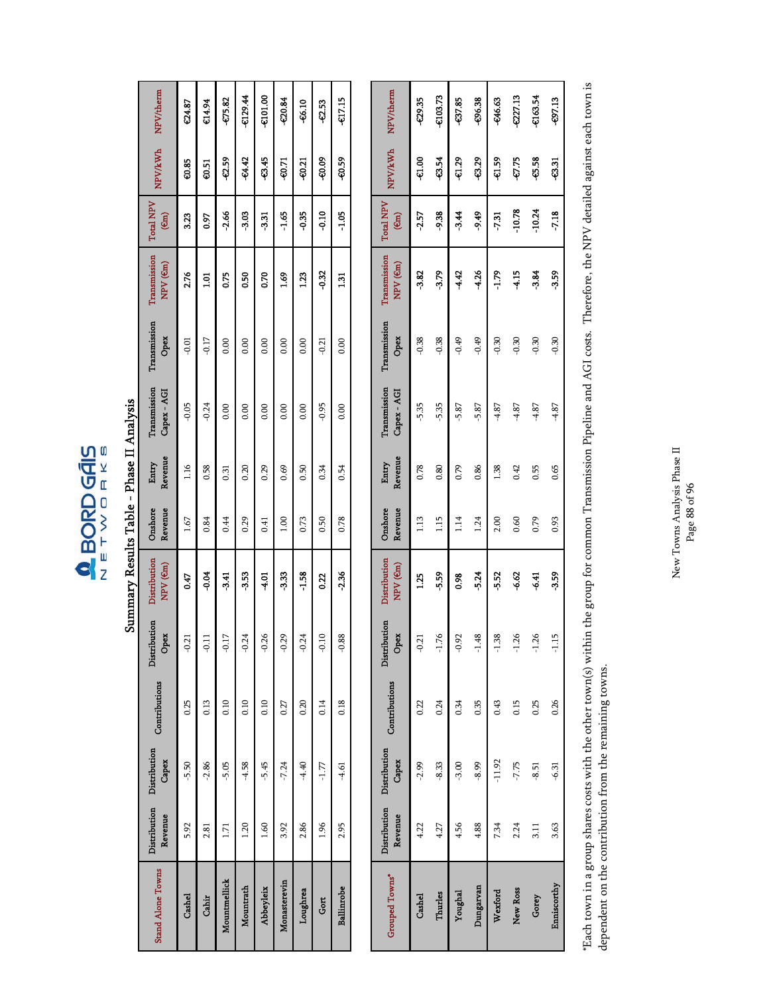$\begin{array}{c}\n\bullet \\
\hline\n\bullet\n\end{array} \begin{array}{c}\n\text{BORD GAIS} \\
\hline\n\bullet\n\end{array}$ 

### Summary Results Table - Phase II Analysis Summary Results Table - Phase II Analysis

| <b>Stand Alone Towns</b> | Revenue        | Distribution Distribution<br>Capex | Contributions | Distribution<br>Opex | Distribution<br>NPV (em) | Revenue<br>Onshore | Revenue<br>Entry | Transmission<br>Capex - AGI | Transmission<br>Opex | Transmission<br>NPV (em) | <b>Total NPV</b><br>(m) | <b>NPV/kWh</b> | NPV/therm         |
|--------------------------|----------------|------------------------------------|---------------|----------------------|--------------------------|--------------------|------------------|-----------------------------|----------------------|--------------------------|-------------------------|----------------|-------------------|
| Cashel                   | 5.92           | $-5.50$                            | 0.25          | $-0.21$              | 0.47                     | 1.67               | 1.16             | $-0.05$                     | $-0.01$              | 2.76                     | 3.23                    | 60.85          | C <sub>4.87</sub> |
| Cahir                    | 2.81           | $-2.86$                            | 0.13          | ຸລ                   | -0.04                    | 0.84               | 0.58             | $-0.24$                     | $-0.17$              | <u>ក្ន</u>               | 0.97                    | 0.51           | <b>C14.94</b>     |
| Mountmellick             | 1.71           | $-5.05$                            | 0.10          | $-0.17$              | 3.41                     | 0.44               | 0.31             | 0.00                        | 0.00                 | 0.75                     | 2.66                    | 0.59           | 675.82            |
| Mountrath                | 1.20           | $-4.58$                            | 0.10          | $-0.24$              | 3.53                     | 0.29               | 0.20             | 0.00                        | 0.00                 | 0.50                     | 3.03                    | -64.42         | -6129.44          |
| Abbeyleix                | $\frac{60}{1}$ | $-5.45$                            | 0.10          | $-0.26$              | $-4.01$                  | 0.41               | 0.29             | 0.00                        | 0.00                 | 0.70                     | 3.31                    | 645            | C101.00           |
| Monasterevin             | 3.92           | $-7.24$                            | 0.27          | $-0.29$              | 333                      | 1.00               | 0.69             | 0.00                        | 0.00                 | 1.69                     | $-1.65$                 | $-0.71$        | <b>50.84</b>      |
| Loughrea                 | 2.86           | $-4.40$                            | 0.20          | $-0.24$              | $-1.58$                  | 0.73               | 0.50             | 0.00                        | 0.00                 | ្មរ្ម                    | $-0.35$                 | $-0.21$        | -66.10            |
| Gort                     | 1.96           | $-1.77$                            | 0.14          | $-0.10$              | 0.22                     | 0.50               | 0.34             | $-0.95$                     | $-0.21$              | $-0.32$                  | $-0.10$                 | -60.09         | 2.53              |
| Ballinrobe               | 2.95           | $-4.61$                            | 0.18          | $-0.88$              | 2.36                     | 0.78               | 0.54             | 0.00                        | 0.00                 | $\Xi$                    | $-1.05$                 | -60.59         | $-0.7.15$         |

| Grouped Towns* | Revenue        | Distribution Distribution<br>Capex | Contributions | Distribution<br>Opex | Distribution<br>NPV (em) | Onshore<br>Revenue | Revenue<br>Entry | Transmission<br>Capex - AGI | Transmission<br>Opex | Transmission<br>NPV (em) | <b>Total NPV</b><br>$\binom{6m}{4}$ | <b>NPV/kWh</b> | NPV/therm |
|----------------|----------------|------------------------------------|---------------|----------------------|--------------------------|--------------------|------------------|-----------------------------|----------------------|--------------------------|-------------------------------------|----------------|-----------|
| Cashel         | 4.22           | $-2.99$                            | 0.22          | $-0.2$               | <b>25</b>                | 1.13               | 0.78             | $-5.35$                     | $-0.38$              | -3.82                    | $-2.57$                             | 8<br>បុ        | -02.35    |
| Thurles        | 4.27           | $-8.33$                            | 0.24          | $-1.76$              | -559                     | 1.15               | 0.80             | $-5.35$                     | $-0.38$              | -3.79                    | -9.38                               | -854           | €103.73   |
| Youghal        | 4.56           | $-3.00$                            | 0.34          | $-0.92$              | 0.98                     | 114                | 0.79             | $-5.87$                     | $-0.49$              | 4.42                     | 3.44                                | <b>CL3</b>     | -637.85   |
| Dungarvan      | 4.88           | $-8.99$                            | 0.35          | $-1.48$              | -5.24                    | 1.24               | 0.86             | $-5.87$                     | $-0.49$              | -4.26                    | \$66-                               | -829           | -696.38   |
| Wexford        | 7.34           | $-11.92$                           | 0.43          | $-1.38$              | -5.52                    | 2.00               | 1.38             | $-4.87$                     | $-0.30$              | $-1.79$                  | 7.31                                | <b>Q.59</b>    | -646.63   |
| New Ross       | 2.24           | $-7.75$                            | 0.15          | $-1.26$              | 6.62                     | 0.60               | 0.42             | $-4.87$                     | $-0.30$              | 4.15                     | $-10.78$                            | -67.75         | 027.13    |
| Gorey          | $\frac{11}{2}$ | $-8.51$                            | 0.25          | $-1.26$              | 6.41                     | 0.79               | 0.55             | $-4.87$                     | $-0.30$              | 3.84                     | $-10.24$                            | 65.58          | €163.54   |
| Enniscorthy    | 3.63           | $-6.31$                            | 0.26          | $-1.15$              | <b>3.59</b>              | 0.93               | 0.65             | $-4.87$                     | $-0.30$              | <b>3.59</b>              | 7.18                                | -63.31         | -697.13   |

\*Each town in a group shares costs with the other town(s) within the group for common Transmission Pipeline and AGI costs. Therefore, the NPV detailed against each town is<br>dependent on the contribution from the remaining t \*Each town in a group shares costs with the other town(s) within the group for common Transmission Pipeline and AGI costs. Therefore, the NPV detailed against each town is dependent on the contribution from the remaining towns.

New Towns Analysis Phase II  $_{\rm Page}$  88 of 96 New Towns Analysis Phase II Page 88 of 96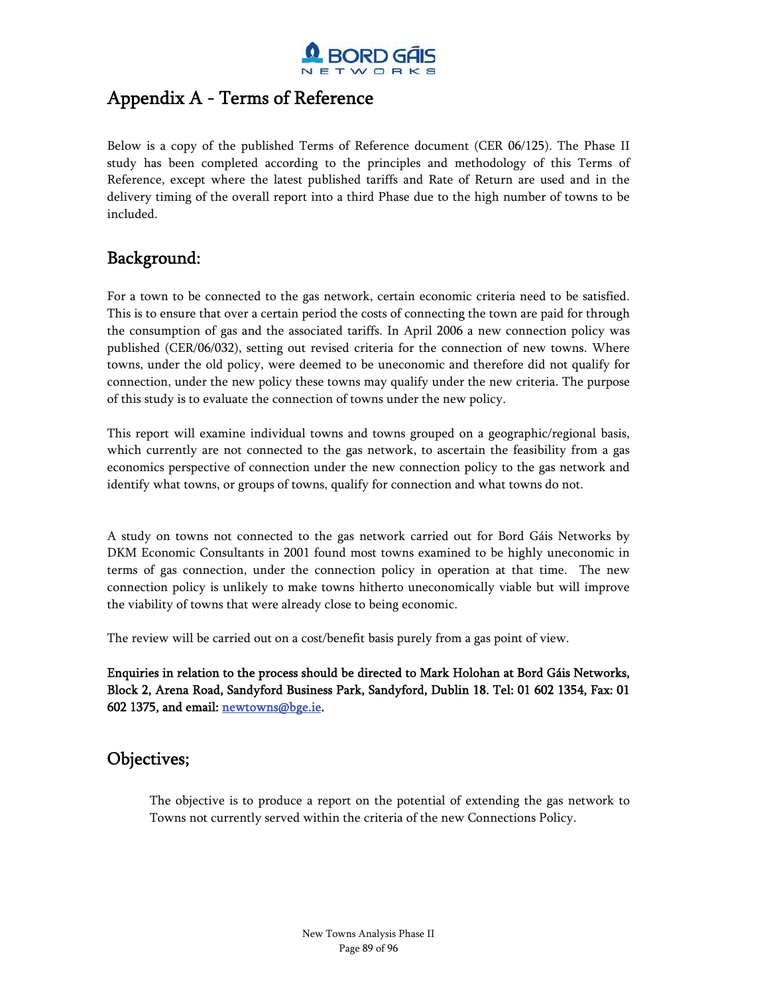

### Appendix A - Terms of Reference

Below is a copy of the published Terms of Reference document (CER 06/125). The Phase II study has been completed according to the principles and methodology of this Terms of Reference, except where the latest published tariffs and Rate of Return are used and in the delivery timing of the overall report into a third Phase due to the high number of towns to be included.

### Background:

For a town to be connected to the gas network, certain economic criteria need to be satisfied. This is to ensure that over a certain period the costs of connecting the town are paid for through the consumption of gas and the associated tariffs. In April 2006 a new connection policy was published (CER/06/032), setting out revised criteria for the connection of new towns. Where towns, under the old policy, were deemed to be uneconomic and therefore did not qualify for connection, under the new policy these towns may qualify under the new criteria. The purpose of this study is to evaluate the connection of towns under the new policy.

This report will examine individual towns and towns grouped on a geographic/regional basis, which currently are not connected to the gas network, to ascertain the feasibility from a gas economics perspective of connection under the new connection policy to the gas network and identify what towns, or groups of towns, qualify for connection and what towns do not.

A study on towns not connected to the gas network carried out for Bord Gáis Networks by DKM Economic Consultants in 2001 found most towns examined to be highly uneconomic in terms of gas connection, under the connection policy in operation at that time. The new connection policy is unlikely to make towns hitherto uneconomically viable but will improve the viability of towns that were already close to being economic.

The review will be carried out on a cost/benefit basis purely from a gas point of view.

Enquiries in relation to the process should be directed to Mark Holohan at Bord Gáis Networks, Block 2, Arena Road, Sandyford Business Park, Sandyford, Dublin 18. Tel: 01 602 1354, Fax: 01 602 1375, and email: newtowns@bge.ie.

### Objectives;

The objective is to produce a report on the potential of extending the gas network to Towns not currently served within the criteria of the new Connections Policy.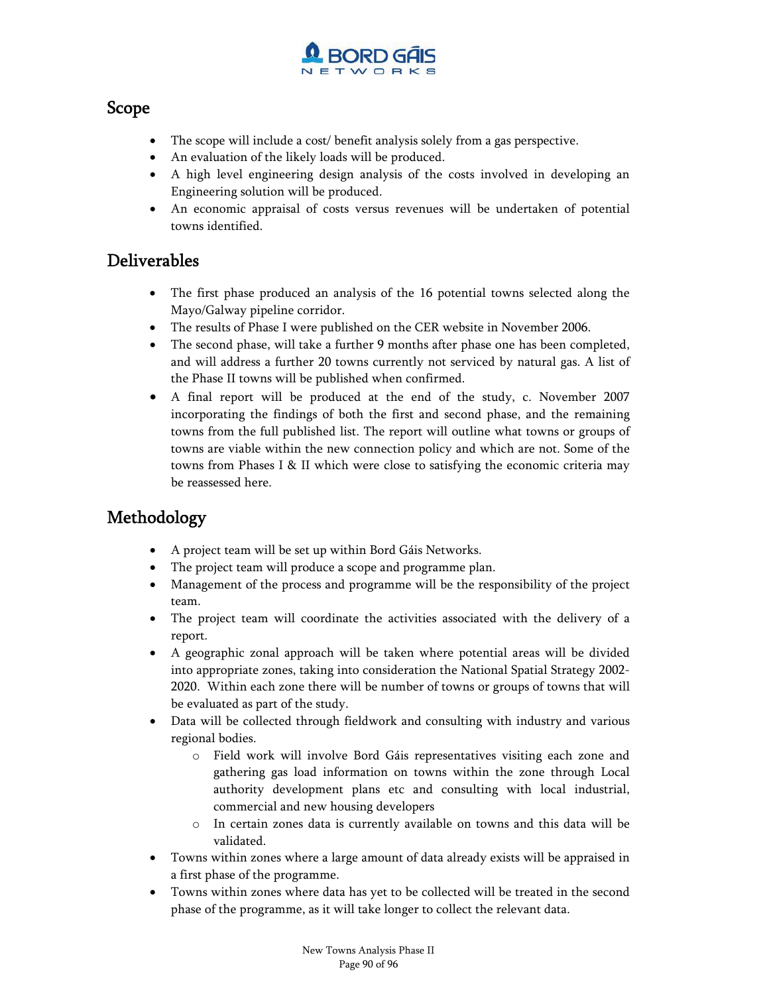

### Scope

- $\bullet$ The scope will include a cost/ benefit analysis solely from a gas perspective.
- -An evaluation of the likely loads will be produced.
- - A high level engineering design analysis of the costs involved in developing an Engineering solution will be produced.
- - An economic appraisal of costs versus revenues will be undertaken of potential towns identified.

### Deliverables

- - The first phase produced an analysis of the 16 potential towns selected along the Mayo/Galway pipeline corridor.
- -The results of Phase I were published on the CER website in November 2006.
- - The second phase, will take a further 9 months after phase one has been completed, and will address a further 20 towns currently not serviced by natural gas. A list of the Phase II towns will be published when confirmed.
- $\bullet$  A final report will be produced at the end of the study, c. November 2007 incorporating the findings of both the first and second phase, and the remaining towns from the full published list. The report will outline what towns or groups of towns are viable within the new connection policy and which are not. Some of the towns from Phases I & II which were close to satisfying the economic criteria may be reassessed here.

### Methodology

- -A project team will be set up within Bord Gáis Networks.
- -The project team will produce a scope and programme plan.
- Management of the process and programme will be the responsibility of the project team.
- - The project team will coordinate the activities associated with the delivery of a report.
- - A geographic zonal approach will be taken where potential areas will be divided into appropriate zones, taking into consideration the National Spatial Strategy 2002- 2020. Within each zone there will be number of towns or groups of towns that will be evaluated as part of the study.
- Data will be collected through fieldwork and consulting with industry and various regional bodies.
	- o Field work will involve Bord Gáis representatives visiting each zone and gathering gas load information on towns within the zone through Local authority development plans etc and consulting with local industrial, commercial and new housing developers
	- o In certain zones data is currently available on towns and this data will be validated.
- - Towns within zones where a large amount of data already exists will be appraised in a first phase of the programme.
- - Towns within zones where data has yet to be collected will be treated in the second phase of the programme, as it will take longer to collect the relevant data.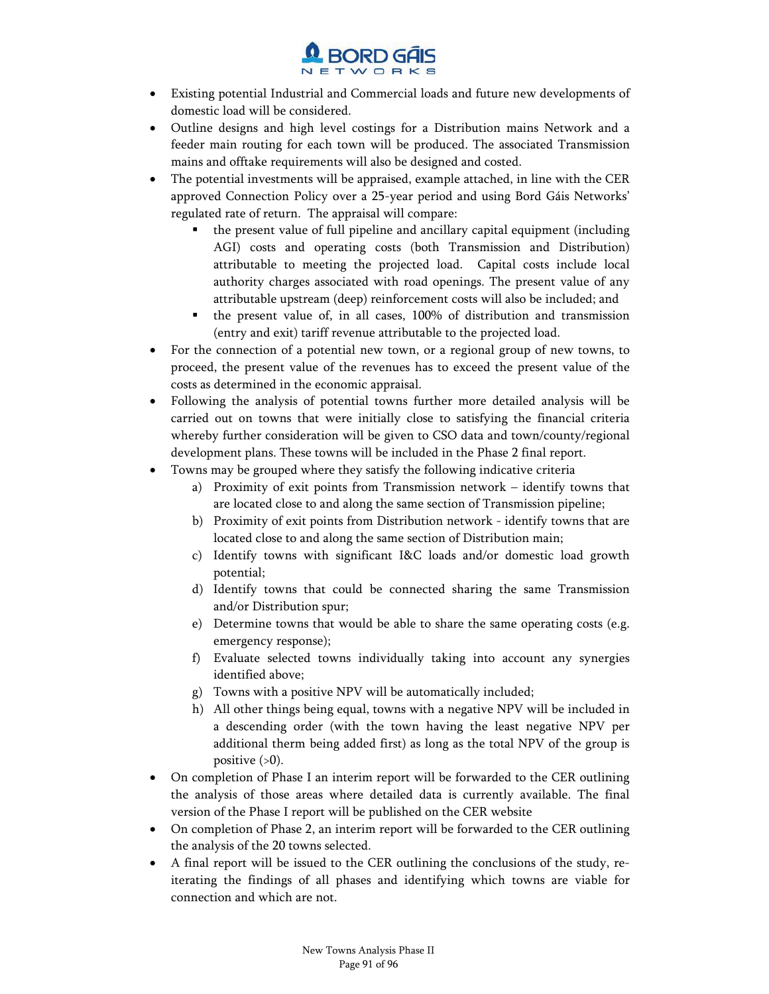

- - Existing potential Industrial and Commercial loads and future new developments of domestic load will be considered.
- - Outline designs and high level costings for a Distribution mains Network and a feeder main routing for each town will be produced. The associated Transmission mains and offtake requirements will also be designed and costed.
- - The potential investments will be appraised, example attached, in line with the CER approved Connection Policy over a 25-year period and using Bord Gáis Networks' regulated rate of return. The appraisal will compare:
	- the present value of full pipeline and ancillary capital equipment (including AGI) costs and operating costs (both Transmission and Distribution) attributable to meeting the projected load. Capital costs include local authority charges associated with road openings. The present value of any attributable upstream (deep) reinforcement costs will also be included; and
	- the present value of, in all cases, 100% of distribution and transmission (entry and exit) tariff revenue attributable to the projected load.
- - For the connection of a potential new town, or a regional group of new towns, to proceed, the present value of the revenues has to exceed the present value of the costs as determined in the economic appraisal.
- $\bullet$  Following the analysis of potential towns further more detailed analysis will be carried out on towns that were initially close to satisfying the financial criteria whereby further consideration will be given to CSO data and town/county/regional development plans. These towns will be included in the Phase 2 final report.
- - Towns may be grouped where they satisfy the following indicative criteria
	- a) Proximity of exit points from Transmission network identify towns that are located close to and along the same section of Transmission pipeline;
	- b) Proximity of exit points from Distribution network identify towns that are located close to and along the same section of Distribution main;
	- c) Identify towns with significant I&C loads and/or domestic load growth potential;
	- d) Identify towns that could be connected sharing the same Transmission and/or Distribution spur;
	- e) Determine towns that would be able to share the same operating costs (e.g. emergency response);
	- f) Evaluate selected towns individually taking into account any synergies identified above;
	- g) Towns with a positive NPV will be automatically included;
	- h) All other things being equal, towns with a negative NPV will be included in a descending order (with the town having the least negative NPV per additional therm being added first) as long as the total NPV of the group is positive (>0).
- - On completion of Phase I an interim report will be forwarded to the CER outlining the analysis of those areas where detailed data is currently available. The final version of the Phase I report will be published on the CER website
- On completion of Phase 2, an interim report will be forwarded to the CER outlining the analysis of the 20 towns selected.
- - A final report will be issued to the CER outlining the conclusions of the study, reiterating the findings of all phases and identifying which towns are viable for connection and which are not.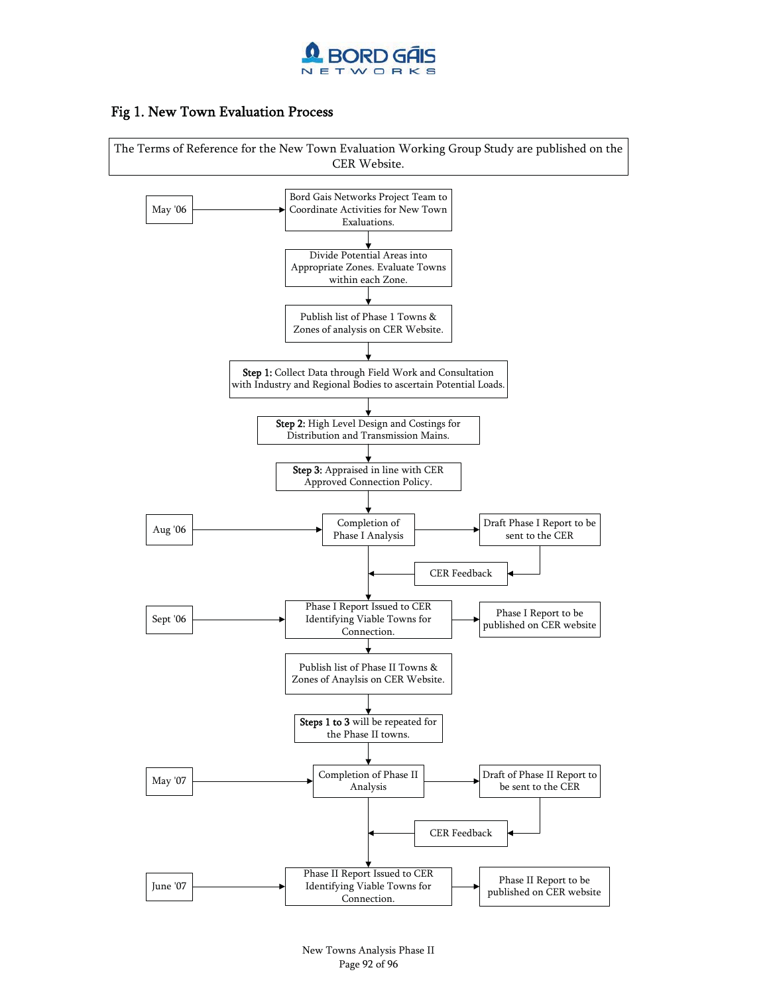

### Fig 1. New Town Evaluation Process

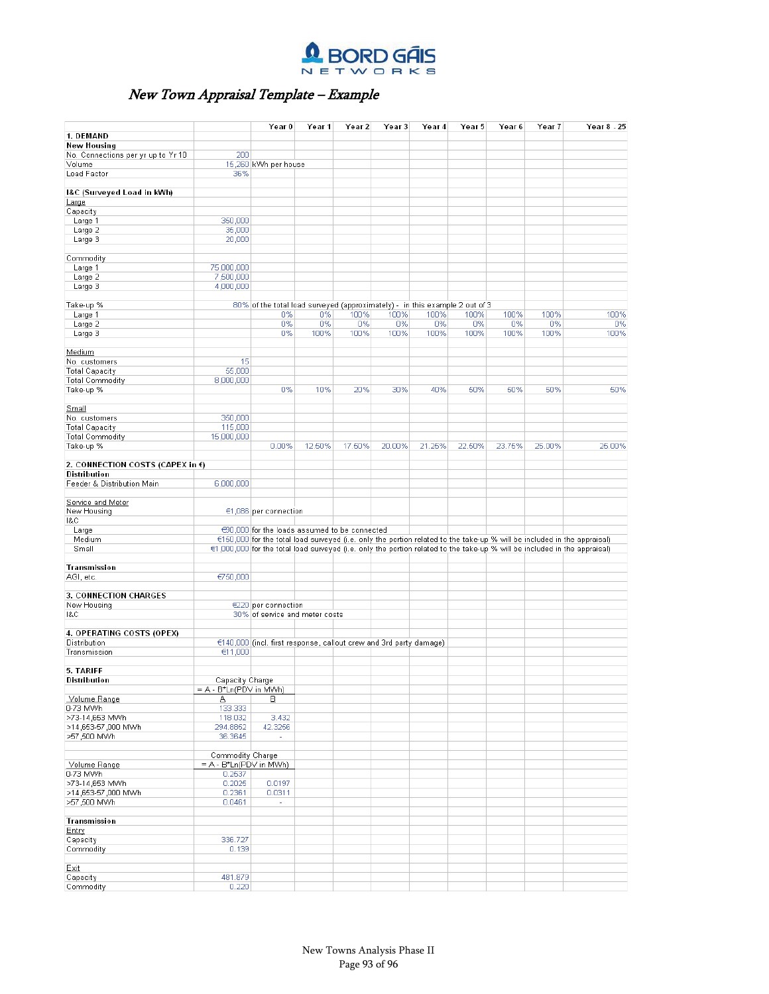

### New Town Appraisal Template – Example

|                                       |                           | Year <sub>0</sub>                                                           | Year 1 | Year 2 | Year <sub>3</sub> | Year 4 | Year 5 | Year 6 | Year 7 | Year 8 - 25                                                                                                               |
|---------------------------------------|---------------------------|-----------------------------------------------------------------------------|--------|--------|-------------------|--------|--------|--------|--------|---------------------------------------------------------------------------------------------------------------------------|
| 1. DEMAND                             |                           |                                                                             |        |        |                   |        |        |        |        |                                                                                                                           |
| <b>New Housing</b>                    |                           |                                                                             |        |        |                   |        |        |        |        |                                                                                                                           |
| No. Connections per yr up to Yr 10    | 200                       |                                                                             |        |        |                   |        |        |        |        |                                                                                                                           |
| Volume                                |                           | 15,260 KWh per house                                                        |        |        |                   |        |        |        |        |                                                                                                                           |
| Load Factor                           | 36%                       |                                                                             |        |        |                   |        |        |        |        |                                                                                                                           |
|                                       |                           |                                                                             |        |        |                   |        |        |        |        |                                                                                                                           |
| I&C (Surveyed Load in kWh)            |                           |                                                                             |        |        |                   |        |        |        |        |                                                                                                                           |
| Large                                 |                           |                                                                             |        |        |                   |        |        |        |        |                                                                                                                           |
|                                       |                           |                                                                             |        |        |                   |        |        |        |        |                                                                                                                           |
| Capacity                              | 350,000                   |                                                                             |        |        |                   |        |        |        |        |                                                                                                                           |
| Large 1<br>Large 2                    | 35,000                    |                                                                             |        |        |                   |        |        |        |        |                                                                                                                           |
|                                       | 20,000                    |                                                                             |        |        |                   |        |        |        |        |                                                                                                                           |
| Large 3                               |                           |                                                                             |        |        |                   |        |        |        |        |                                                                                                                           |
|                                       |                           |                                                                             |        |        |                   |        |        |        |        |                                                                                                                           |
| Commodity                             |                           |                                                                             |        |        |                   |        |        |        |        |                                                                                                                           |
| Large 1                               | 75,000,000                |                                                                             |        |        |                   |        |        |        |        |                                                                                                                           |
| Large 2                               | 7,500,000                 |                                                                             |        |        |                   |        |        |        |        |                                                                                                                           |
| Large 3                               | 4,000,000                 |                                                                             |        |        |                   |        |        |        |        |                                                                                                                           |
|                                       |                           |                                                                             |        |        |                   |        |        |        |        |                                                                                                                           |
| Take-up %                             |                           | 80% of the total load surveyed (approximately) - in this example 2 out of 3 |        |        |                   |        |        |        |        |                                                                                                                           |
| Large 1                               |                           | 0%                                                                          | 0%     | 100%   | 100%              | 100%   | 100%   | 100%   | 100%   | 100%                                                                                                                      |
| Large 2                               |                           | 0%                                                                          | 0%     | 0%     | 0%                | 0%     | 0%     | 0%     | 0%     | 0%                                                                                                                        |
| Large 3                               |                           | 0%                                                                          | 100%   | 100%   | 100%              | 100%   | 100%   | 100%   | 100%   | 100%                                                                                                                      |
|                                       |                           |                                                                             |        |        |                   |        |        |        |        |                                                                                                                           |
| Medium                                |                           |                                                                             |        |        |                   |        |        |        |        |                                                                                                                           |
| No. customers                         | 15                        |                                                                             |        |        |                   |        |        |        |        |                                                                                                                           |
| <b>Total Capacity</b>                 | 55,000                    |                                                                             |        |        |                   |        |        |        |        |                                                                                                                           |
| <b>Total Commodity</b>                | 8,000,000                 |                                                                             |        |        |                   |        |        |        |        |                                                                                                                           |
| Take-up %                             |                           | 0%                                                                          | 10%    | 20%    | 30%               | 40%    | 50%    | 50%    | 50%    | 50%                                                                                                                       |
|                                       |                           |                                                                             |        |        |                   |        |        |        |        |                                                                                                                           |
| Small                                 |                           |                                                                             |        |        |                   |        |        |        |        |                                                                                                                           |
| No. customers                         | 350,000                   |                                                                             |        |        |                   |        |        |        |        |                                                                                                                           |
| <b>Total Capacity</b>                 | 115,000                   |                                                                             |        |        |                   |        |        |        |        |                                                                                                                           |
| Total Commodity                       | 15,000,000                |                                                                             |        |        |                   |        |        |        |        |                                                                                                                           |
| Take-up %                             |                           | 0.00%                                                                       | 12.50% | 17.50% | 20.00%            | 21.25% | 22.50% | 23.75% | 25.00% | 25.00%                                                                                                                    |
|                                       |                           |                                                                             |        |        |                   |        |        |        |        |                                                                                                                           |
| 2. CONNECTION COSTS (CAPEX in $\xi$ ) |                           |                                                                             |        |        |                   |        |        |        |        |                                                                                                                           |
| Distribution                          |                           |                                                                             |        |        |                   |        |        |        |        |                                                                                                                           |
| Feeder & Distribution Main            | 6,000,000                 |                                                                             |        |        |                   |        |        |        |        |                                                                                                                           |
|                                       |                           |                                                                             |        |        |                   |        |        |        |        |                                                                                                                           |
| Service and Meter                     |                           |                                                                             |        |        |                   |        |        |        |        |                                                                                                                           |
| New Housing                           |                           | €1,086 per connection                                                       |        |        |                   |        |        |        |        |                                                                                                                           |
| 1&C                                   |                           |                                                                             |        |        |                   |        |        |        |        |                                                                                                                           |
|                                       |                           |                                                                             |        |        |                   |        |        |        |        |                                                                                                                           |
| Large                                 |                           | €90,000 for the loads assumed to be connected                               |        |        |                   |        |        |        |        |                                                                                                                           |
| Medium                                |                           |                                                                             |        |        |                   |        |        |        |        | €150,000 for the total load surveyed (i.e. only the portion related to the take-up % will be included in the appraisal)   |
| Small                                 |                           |                                                                             |        |        |                   |        |        |        |        | €1,000,000 for the total load surveyed (i.e. only the portion related to the take-up % will be included in the appraisal) |
|                                       |                           |                                                                             |        |        |                   |        |        |        |        |                                                                                                                           |
| Transmission                          |                           |                                                                             |        |        |                   |        |        |        |        |                                                                                                                           |
| AGI, etc.                             | €750,000                  |                                                                             |        |        |                   |        |        |        |        |                                                                                                                           |
|                                       |                           |                                                                             |        |        |                   |        |        |        |        |                                                                                                                           |
| 3. CONNECTION CHARGES                 |                           |                                                                             |        |        |                   |        |        |        |        |                                                                                                                           |
| New Housing                           |                           | €220 per connection                                                         |        |        |                   |        |        |        |        |                                                                                                                           |
| 1&C                                   |                           | 30% of service and meter costs                                              |        |        |                   |        |        |        |        |                                                                                                                           |
|                                       |                           |                                                                             |        |        |                   |        |        |        |        |                                                                                                                           |
| 4. OPERATING COSTS (OPEX)             |                           |                                                                             |        |        |                   |        |        |        |        |                                                                                                                           |
| Distribution                          |                           | €140,000 (incl. first response, callout crew and 3rd party damage)          |        |        |                   |        |        |        |        |                                                                                                                           |
| Transmission                          | €11,000                   |                                                                             |        |        |                   |        |        |        |        |                                                                                                                           |
|                                       |                           |                                                                             |        |        |                   |        |        |        |        |                                                                                                                           |
| 5. TARIFF                             |                           |                                                                             |        |        |                   |        |        |        |        |                                                                                                                           |
| Distribution                          | Capacity Charge           |                                                                             |        |        |                   |        |        |        |        |                                                                                                                           |
|                                       | $= A - B^*Ln(PDV$ in MWh) |                                                                             |        |        |                   |        |        |        |        |                                                                                                                           |
| Volume Range                          | Δ                         | В                                                                           |        |        |                   |        |        |        |        |                                                                                                                           |
| 0-73 MWh                              | 133.333                   |                                                                             |        |        |                   |        |        |        |        |                                                                                                                           |
| >73-14,653 MWh                        | 118.032                   | 3.432                                                                       |        |        |                   |        |        |        |        |                                                                                                                           |
| >14,653-57,000 MWh                    | 294.8852                  | 42.3256                                                                     |        |        |                   |        |        |        |        |                                                                                                                           |
| >57,500 MWh                           | 36.3645                   | $\sim$                                                                      |        |        |                   |        |        |        |        |                                                                                                                           |
|                                       |                           |                                                                             |        |        |                   |        |        |        |        |                                                                                                                           |
|                                       | Commodity Charge          |                                                                             |        |        |                   |        |        |        |        |                                                                                                                           |
| Volume Range                          | $= A - B^*Ln(PDV$ in MWh) |                                                                             |        |        |                   |        |        |        |        |                                                                                                                           |
| 0-73 MWh                              | 0.2537                    |                                                                             |        |        |                   |        |        |        |        |                                                                                                                           |
| >73-14,653 MWh                        | 0.2025                    | 0.0197                                                                      |        |        |                   |        |        |        |        |                                                                                                                           |
| >14,653-57,000 MWh                    | 0.2361                    | 0.0311                                                                      |        |        |                   |        |        |        |        |                                                                                                                           |
| >57,500 MWh                           | 0.0461                    | ÷.                                                                          |        |        |                   |        |        |        |        |                                                                                                                           |
|                                       |                           |                                                                             |        |        |                   |        |        |        |        |                                                                                                                           |
| Transmission                          |                           |                                                                             |        |        |                   |        |        |        |        |                                                                                                                           |
| Entry                                 |                           |                                                                             |        |        |                   |        |        |        |        |                                                                                                                           |
|                                       | 336.727                   |                                                                             |        |        |                   |        |        |        |        |                                                                                                                           |
| Capacity                              |                           |                                                                             |        |        |                   |        |        |        |        |                                                                                                                           |
| Commodity                             | 0.139                     |                                                                             |        |        |                   |        |        |        |        |                                                                                                                           |
|                                       |                           |                                                                             |        |        |                   |        |        |        |        |                                                                                                                           |
| Exit                                  |                           |                                                                             |        |        |                   |        |        |        |        |                                                                                                                           |
| Capacity                              | 481.879                   |                                                                             |        |        |                   |        |        |        |        |                                                                                                                           |
| Commodity                             | 0.220                     |                                                                             |        |        |                   |        |        |        |        |                                                                                                                           |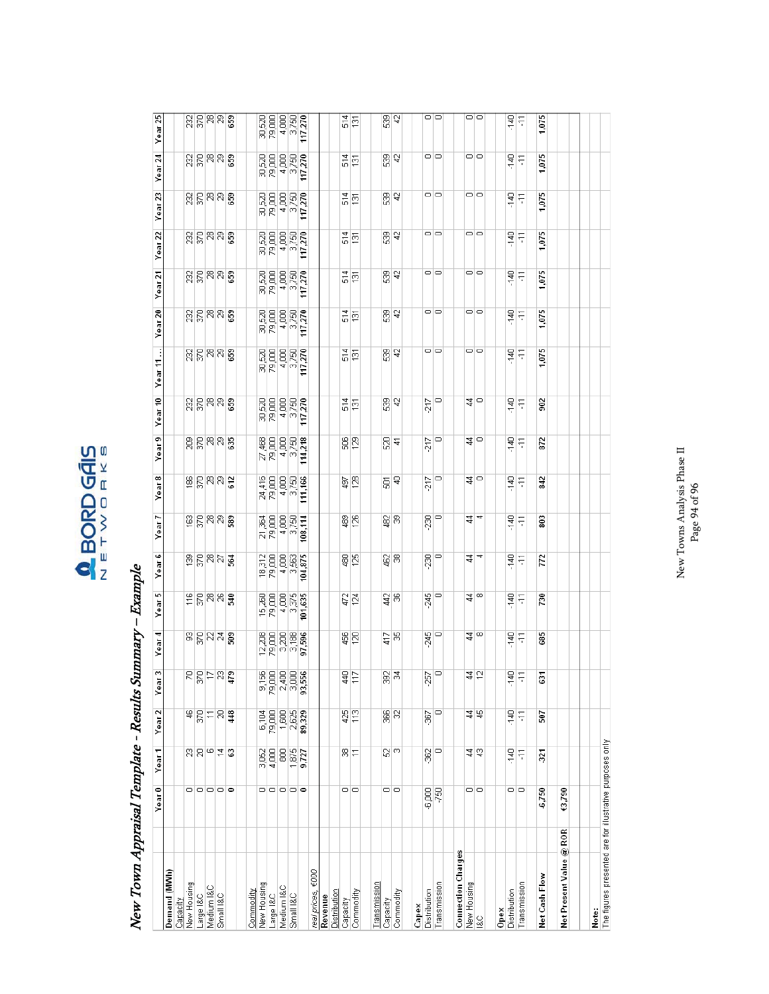### $\begin{array}{c}\n\bullet \\
\hline\n\bullet\n\end{array} \begin{array}{c}\n\text{BORD G\overline{A}}\text{IS} \\
\hline\n\end{array}$

## New Town Appraisal Template - Results Summary - Example New Town Appraisal Template - Results Summary – Example

|                                                                   | Year <sub>0</sub> | Year <sub>1</sub>         | Year <sub>2</sub>                                                       | Year <sub>3</sub> | ₹<br>Year               | 5<br>Year        | Year <sub>6</sub> | Year 7                                                                                                                                                                                                                                                                                                                                                                                                                                                                                                     | ∞<br>Year       | ా<br>Year:                     | Year 10                                                   | ÷<br>Ξ<br>Year                 | Year <sub>20</sub>                                               | Ν<br>Year:                                                          | Year <sub>22</sub> | 23<br>Year                                                       | $\overline{a}$<br>Year:                                                       | Year <sub>25</sub>          |
|-------------------------------------------------------------------|-------------------|---------------------------|-------------------------------------------------------------------------|-------------------|-------------------------|------------------|-------------------|------------------------------------------------------------------------------------------------------------------------------------------------------------------------------------------------------------------------------------------------------------------------------------------------------------------------------------------------------------------------------------------------------------------------------------------------------------------------------------------------------------|-----------------|--------------------------------|-----------------------------------------------------------|--------------------------------|------------------------------------------------------------------|---------------------------------------------------------------------|--------------------|------------------------------------------------------------------|-------------------------------------------------------------------------------|-----------------------------|
| Demand (MWh)                                                      |                   |                           |                                                                         |                   |                         |                  |                   |                                                                                                                                                                                                                                                                                                                                                                                                                                                                                                            |                 |                                |                                                           |                                |                                                                  |                                                                     |                    |                                                                  |                                                                               |                             |
| Capacity                                                          |                   |                           |                                                                         |                   |                         |                  |                   |                                                                                                                                                                                                                                                                                                                                                                                                                                                                                                            |                 |                                |                                                           |                                |                                                                  |                                                                     |                    |                                                                  |                                                                               |                             |
| New Housing                                                       |                   |                           |                                                                         |                   |                         |                  |                   |                                                                                                                                                                                                                                                                                                                                                                                                                                                                                                            |                 |                                |                                                           |                                |                                                                  |                                                                     |                    |                                                                  |                                                                               |                             |
| Large I&C                                                         |                   |                           |                                                                         |                   |                         |                  |                   |                                                                                                                                                                                                                                                                                                                                                                                                                                                                                                            |                 |                                |                                                           |                                |                                                                  |                                                                     |                    |                                                                  |                                                                               |                             |
| Medium I&C                                                        |                   |                           |                                                                         |                   |                         |                  |                   |                                                                                                                                                                                                                                                                                                                                                                                                                                                                                                            |                 |                                |                                                           |                                |                                                                  |                                                                     |                    |                                                                  |                                                                               |                             |
| Small I&C                                                         | 00000             | $R$ $R$ $\circ$ $\pm$ $3$ | 하임되임횷                                                                   | 모음능kd <b>호</b>    | 이라이오움                   | 뒤붙이지용            | 회복하용              | 의리비리용                                                                                                                                                                                                                                                                                                                                                                                                                                                                                                      | 위침성성            | 읽出니까요                          | <u>ន្តន្ត្រី ន</u>                                        | ଖୁଞ୍ଜାଞ୍ଜା                     | ଖିଳିକାଖିଛି                                                       | <u> ខ្លុង្គ្រូ ខ្លួ</u>                                             | 있음의회용              | 있음의회용                                                            | ଖୁଞ୍ଜାଞ୍ଜା                                                                    | <u> ដ្ឋាន នា</u>            |
|                                                                   |                   |                           |                                                                         |                   |                         |                  |                   |                                                                                                                                                                                                                                                                                                                                                                                                                                                                                                            |                 |                                |                                                           |                                |                                                                  |                                                                     |                    |                                                                  |                                                                               |                             |
| Commodity                                                         |                   |                           |                                                                         |                   |                         |                  |                   |                                                                                                                                                                                                                                                                                                                                                                                                                                                                                                            |                 |                                |                                                           |                                |                                                                  |                                                                     |                    |                                                                  |                                                                               |                             |
| New Housing                                                       |                   |                           |                                                                         |                   |                         |                  |                   |                                                                                                                                                                                                                                                                                                                                                                                                                                                                                                            |                 |                                |                                                           |                                |                                                                  |                                                                     |                    |                                                                  |                                                                               |                             |
| Large I&C                                                         |                   | 3,062<br>4,000            |                                                                         |                   |                         |                  |                   |                                                                                                                                                                                                                                                                                                                                                                                                                                                                                                            |                 |                                |                                                           |                                |                                                                  |                                                                     |                    |                                                                  |                                                                               |                             |
| Medium I&C                                                        |                   | 8                         |                                                                         |                   |                         |                  |                   |                                                                                                                                                                                                                                                                                                                                                                                                                                                                                                            |                 |                                |                                                           |                                |                                                                  |                                                                     |                    |                                                                  |                                                                               |                             |
| Small I&C                                                         | o o o o o         | $\frac{1875}{9,727}$      | $\begin{array}{c}\n 500 \\  -200 \\  -200 \\  \hline\n 0\n \end{array}$ |                   |                         |                  |                   | $\begin{array}{c}\n\overline{a} & \overline{b} \\ \overline{c} & \overline{c} \\ \overline{c} & \overline{c} \\ \overline{c} & \overline{c} \\ \overline{c} & \overline{c} \\ \overline{c} & \overline{c} \\ \overline{c} & \overline{c} \\ \overline{c} & \overline{c} \\ \overline{c} & \overline{c} \\ \overline{c} & \overline{c} \\ \overline{c} & \overline{c} \\ \overline{c} & \overline{c} \\ \overline{c} & \overline{c} \\ \overline{c} & \overline{c} \\ \overline{c} & \overline{c} \\ \over$ |                 | 요 <u>8</u><br>지지<br>지지<br>이 기호 | $\begin{array}{c}\n 8880 \\  8840 \\  1278\n \end{array}$ | ន្ត<br>ខេត្ត<br>ខេត្ត<br>ខេត្ត | $\begin{array}{c}\n 8888 \\  884 \\  \hline\n 728\n \end{array}$ | $\begin{array}{l} 8886687 \\ 884467 \\ 12404 \\ \hline \end{array}$ |                    | $\begin{array}{l} 8888887 \\ 8844 \\ 1254 \\ \hline \end{array}$ | $\begin{array}{l} 8880 \\ 8840 \\ 1274 \\ 1374 \\ 1474 \\ \hline \end{array}$ | $\frac{88888822}{8844022}$  |
|                                                                   |                   |                           |                                                                         |                   |                         |                  |                   | 108,114                                                                                                                                                                                                                                                                                                                                                                                                                                                                                                    |                 |                                |                                                           | 117,270                        |                                                                  |                                                                     |                    |                                                                  |                                                                               |                             |
| real prices, €000                                                 |                   |                           |                                                                         |                   |                         |                  |                   |                                                                                                                                                                                                                                                                                                                                                                                                                                                                                                            |                 |                                |                                                           |                                |                                                                  |                                                                     |                    |                                                                  |                                                                               |                             |
| Revenue                                                           |                   |                           |                                                                         |                   |                         |                  |                   |                                                                                                                                                                                                                                                                                                                                                                                                                                                                                                            |                 |                                |                                                           |                                |                                                                  |                                                                     |                    |                                                                  |                                                                               |                             |
| Distribution                                                      |                   |                           |                                                                         |                   |                         |                  |                   |                                                                                                                                                                                                                                                                                                                                                                                                                                                                                                            |                 |                                |                                                           |                                |                                                                  |                                                                     |                    |                                                                  |                                                                               |                             |
| Capacity                                                          | ㅇㅇ                | 위는                        | $rac{425}{113}$                                                         | $\frac{1}{4}$     | $\frac{18}{2}$          | $\frac{17}{124}$ | 魯宮                | ෂූ පූ                                                                                                                                                                                                                                                                                                                                                                                                                                                                                                      | $\frac{5}{2}$   | $\frac{8}{2}$                  | $rac{4}{131}$                                             | 픻할                             | $rac{4}{15}$                                                     | $rac{4}{151}$                                                       | $rac{4}{5}$        | $rac{4}{5}$ <sup>51</sup>                                        | $rac{4}{5}$                                                                   | $\frac{4}{5}$ $\frac{5}{2}$ |
| Commodity                                                         |                   |                           |                                                                         | $\frac{17}{2}$    |                         |                  |                   |                                                                                                                                                                                                                                                                                                                                                                                                                                                                                                            |                 |                                |                                                           |                                |                                                                  |                                                                     |                    |                                                                  |                                                                               |                             |
| Transmission                                                      |                   |                           |                                                                         |                   |                         |                  |                   |                                                                                                                                                                                                                                                                                                                                                                                                                                                                                                            |                 |                                |                                                           |                                |                                                                  |                                                                     |                    |                                                                  |                                                                               |                             |
|                                                                   |                   |                           |                                                                         |                   |                         |                  |                   |                                                                                                                                                                                                                                                                                                                                                                                                                                                                                                            |                 |                                |                                                           |                                |                                                                  |                                                                     |                    |                                                                  |                                                                               |                             |
| Capacity                                                          | 00                | $\mathbb{S}^{ \omega }$   | $\frac{1}{8}$ 82                                                        | ङ्क ह             | $\frac{5}{4}$ $\approx$ | तै श्ल           | ହ୍ୱାଞ୍ଜ           | ଞ୍ଜା                                                                                                                                                                                                                                                                                                                                                                                                                                                                                                       | 힘               | 임크                             | 없,                                                        | 8 F                            | 6 년                                                              | 8 a<br>8 a                                                          | 없 き                | 8 a<br>8 a                                                       | 8 a                                                                           | 없 4                         |
| Commodity                                                         |                   |                           |                                                                         |                   |                         |                  |                   |                                                                                                                                                                                                                                                                                                                                                                                                                                                                                                            |                 |                                |                                                           |                                |                                                                  |                                                                     |                    |                                                                  |                                                                               |                             |
| Capex                                                             |                   |                           |                                                                         |                   |                         |                  |                   |                                                                                                                                                                                                                                                                                                                                                                                                                                                                                                            |                 |                                |                                                           |                                |                                                                  |                                                                     |                    |                                                                  |                                                                               |                             |
| Distribution                                                      |                   | $\overline{\mathrm{g}}$   | Ş                                                                       | 757               |                         |                  | .230              |                                                                                                                                                                                                                                                                                                                                                                                                                                                                                                            |                 |                                |                                                           |                                |                                                                  |                                                                     |                    |                                                                  |                                                                               |                             |
| Transmission                                                      | $rac{6}{6}$       | $\circ$                   | $\circ$                                                                 | O                 | $\frac{345}{0}$         | 월<br>이           | $\circ$           | 있 <sub>으</sub>                                                                                                                                                                                                                                                                                                                                                                                                                                                                                             | $\frac{5}{212}$ | $rac{5}{212}$                  | $\frac{5}{212}$                                           | 이어                             | 이ㅇ                                                               | 이어                                                                  | ㅇㅇ                 | ㅇㅇ                                                               | ㅇㅇ                                                                            | 00                          |
| <b>Connection Charges</b>                                         |                   |                           |                                                                         |                   |                         |                  |                   |                                                                                                                                                                                                                                                                                                                                                                                                                                                                                                            |                 |                                |                                                           |                                |                                                                  |                                                                     |                    |                                                                  |                                                                               |                             |
| New Housing                                                       |                   |                           |                                                                         |                   |                         |                  |                   |                                                                                                                                                                                                                                                                                                                                                                                                                                                                                                            |                 |                                |                                                           |                                |                                                                  |                                                                     |                    |                                                                  |                                                                               |                             |
| l&C                                                               | ㅇㅇ                | $\frac{4}{3}$             | $\frac{4}{3}$                                                           | $\frac{4}{5}$     | ३∣∞                     | य∣∞              | च¦च               | र्य प                                                                                                                                                                                                                                                                                                                                                                                                                                                                                                      | य∣−             | ≇∣−                            | ≇∣−                                                       | 이ㅇ                             | 이ㅇ                                                               | 이어                                                                  | 이미                 | 이미                                                               | ㅇㅇ                                                                            | ㅇㅇ                          |
| Opex                                                              |                   |                           |                                                                         |                   |                         |                  |                   |                                                                                                                                                                                                                                                                                                                                                                                                                                                                                                            |                 |                                |                                                           |                                |                                                                  |                                                                     |                    |                                                                  |                                                                               |                             |
| Distribution                                                      |                   | $-140$                    | 白.                                                                      | 白.                | 무.                      |                  | $\frac{1}{4}$     | $\frac{1}{2}$                                                                                                                                                                                                                                                                                                                                                                                                                                                                                              | $-140$          | $-140$                         | $-140$                                                    | $\frac{40}{3}$                 |                                                                  | 무<br>-                                                              |                    | at.                                                              | $\frac{1}{2}$                                                                 |                             |
| Transmission                                                      | ㅇㅇ                | F                         | F                                                                       | H                 | F                       | 복도               | F                 | $\overline{11}$                                                                                                                                                                                                                                                                                                                                                                                                                                                                                            | F               | F                              | F                                                         | F                              | 복도                                                               | F                                                                   | 복도                 | $\overline{11}$                                                  | $\overline{11}$                                                               | 목돈                          |
| Net Cash Flow                                                     | 6,750             | 321                       | 507                                                                     | Ğ,                | 685                     | 730              | 772               | 803                                                                                                                                                                                                                                                                                                                                                                                                                                                                                                        | 842             | 872                            | $\approx$                                                 | 075                            | 1,075                                                            | 1,075                                                               | 1,075              | 1,075                                                            | 1,075                                                                         | 1,075                       |
|                                                                   |                   |                           |                                                                         |                   |                         |                  |                   |                                                                                                                                                                                                                                                                                                                                                                                                                                                                                                            |                 |                                |                                                           |                                |                                                                  |                                                                     |                    |                                                                  |                                                                               |                             |
| Net Present Value @ ROR                                           | €3,790            |                           |                                                                         |                   |                         |                  |                   |                                                                                                                                                                                                                                                                                                                                                                                                                                                                                                            |                 |                                |                                                           |                                |                                                                  |                                                                     |                    |                                                                  |                                                                               |                             |
|                                                                   |                   |                           |                                                                         |                   |                         |                  |                   |                                                                                                                                                                                                                                                                                                                                                                                                                                                                                                            |                 |                                |                                                           |                                |                                                                  |                                                                     |                    |                                                                  |                                                                               |                             |
|                                                                   |                   |                           |                                                                         |                   |                         |                  |                   |                                                                                                                                                                                                                                                                                                                                                                                                                                                                                                            |                 |                                |                                                           |                                |                                                                  |                                                                     |                    |                                                                  |                                                                               |                             |
| Note:<br>The flaures presented are for illustrative purposes only |                   |                           |                                                                         |                   |                         |                  |                   |                                                                                                                                                                                                                                                                                                                                                                                                                                                                                                            |                 |                                |                                                           |                                |                                                                  |                                                                     |                    |                                                                  |                                                                               |                             |

New Towns Analysis Phase II  $\label{eq:pe} \text{Page 94 of 96}$ New Towns Analysis Phase II Page 94 of 96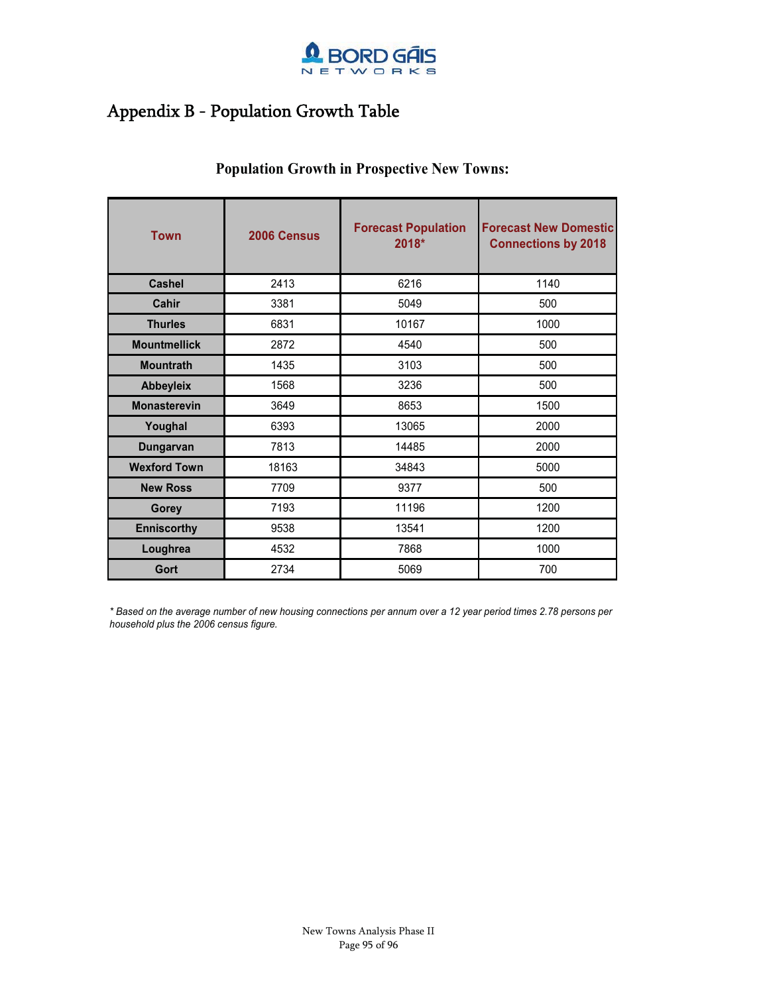

### Appendix B - Population Growth Table

| <b>Town</b>         | 2006 Census | <b>Forecast Population</b><br>2018* | <b>Forecast New Domestic</b><br><b>Connections by 2018</b> |
|---------------------|-------------|-------------------------------------|------------------------------------------------------------|
| Cashel              | 2413        | 6216                                | 1140                                                       |
| Cahir               | 3381        | 5049                                | 500                                                        |
| <b>Thurles</b>      | 6831        | 10167                               | 1000                                                       |
| <b>Mountmellick</b> | 2872        | 4540                                | 500                                                        |
| <b>Mountrath</b>    | 1435        | 3103                                | 500                                                        |
| <b>Abbeyleix</b>    | 1568        | 3236                                | 500                                                        |
| <b>Monasterevin</b> | 3649        | 8653                                | 1500                                                       |
| Youghal             | 6393        | 13065                               | 2000                                                       |
| Dungarvan           | 7813        | 14485                               | 2000                                                       |
| <b>Wexford Town</b> | 18163       | 34843                               | 5000                                                       |
| <b>New Ross</b>     | 7709        | 9377                                | 500                                                        |
| Gorey               | 7193        | 11196                               | 1200                                                       |
| <b>Enniscorthy</b>  | 9538        | 13541                               | 1200                                                       |
| Loughrea            | 4532        | 7868                                | 1000                                                       |
| Gort                | 2734        | 5069                                | 700                                                        |

### **Population Growth in Prospective New Towns:**

*\* Based on the average number of new housing connections per annum over a 12 year period times 2.78 persons per household plus the 2006 census figure.*